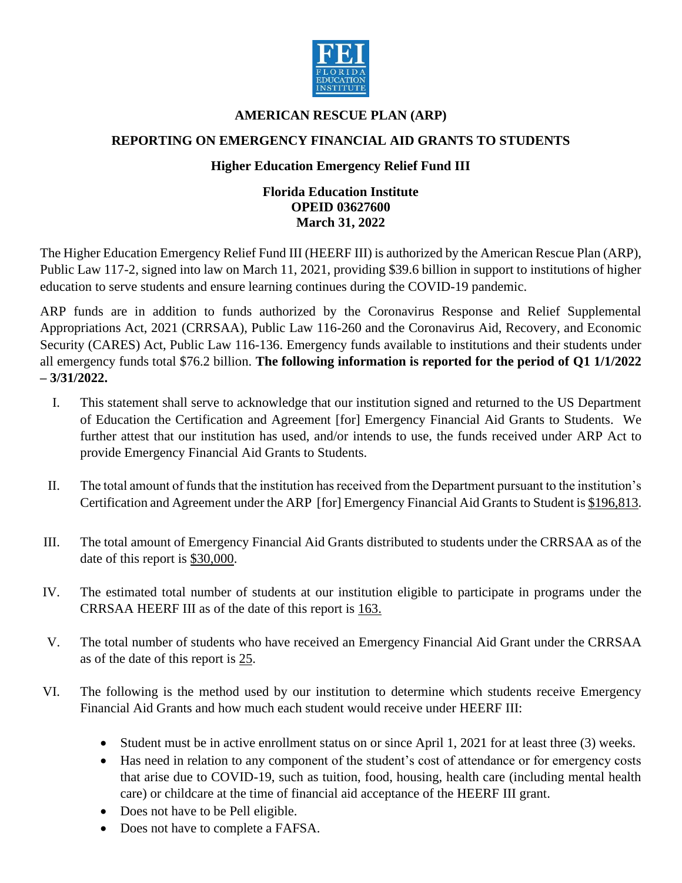

## **AMERICAN RESCUE PLAN (ARP)**

## **REPORTING ON EMERGENCY FINANCIAL AID GRANTS TO STUDENTS**

## **Higher Education Emergency Relief Fund III**

## **Florida Education Institute OPEID 03627600 March 31, 2022**

The Higher Education Emergency Relief Fund III (HEERF III) is authorized by the American Rescue Plan (ARP), Public Law 117-2, signed into law on March 11, 2021, providing \$39.6 billion in support to institutions of higher education to serve students and ensure learning continues during the COVID-19 pandemic.

ARP funds are in addition to funds authorized by the Coronavirus Response and Relief Supplemental Appropriations Act, 2021 (CRRSAA), Public Law 116-260 and the Coronavirus Aid, Recovery, and Economic Security (CARES) Act, Public Law 116-136. Emergency funds available to institutions and their students under all emergency funds total \$76.2 billion. **The following information is reported for the period of Q1 1/1/2022 – 3/31/2022.**

- I. This statement shall serve to acknowledge that our institution signed and returned to the US Department of Education the Certification and Agreement [for] Emergency Financial Aid Grants to Students.We further attest that our institution has used, and/or intends to use, the funds received under ARP Act to provide Emergency Financial Aid Grants to Students.
- II. The total amount of funds that the institution has received from the Department pursuant to the institution's Certification and Agreement under the ARP [for] Emergency Financial Aid Grants to Student is \$196,813.
- III. The total amount of Emergency Financial Aid Grants distributed to students under the CRRSAA as of the date of this report is \$30,000.
- IV. The estimated total number of students at our institution eligible to participate in programs under the CRRSAA HEERF III as of the date of this report is 163.
- V. The total number of students who have received an Emergency Financial Aid Grant under the CRRSAA as of the date of this report is 25.
- VI. The following is the method used by our institution to determine which students receive Emergency Financial Aid Grants and how much each student would receive under HEERF III:
	- Student must be in active enrollment status on or since April 1, 2021 for at least three (3) weeks.
	- Has need in relation to any component of the student's cost of attendance or for emergency costs that arise due to COVID-19, such as tuition, food, housing, health care (including mental health care) or childcare at the time of financial aid acceptance of the HEERF III grant.
	- Does not have to be Pell eligible.
	- Does not have to complete a FAFSA.